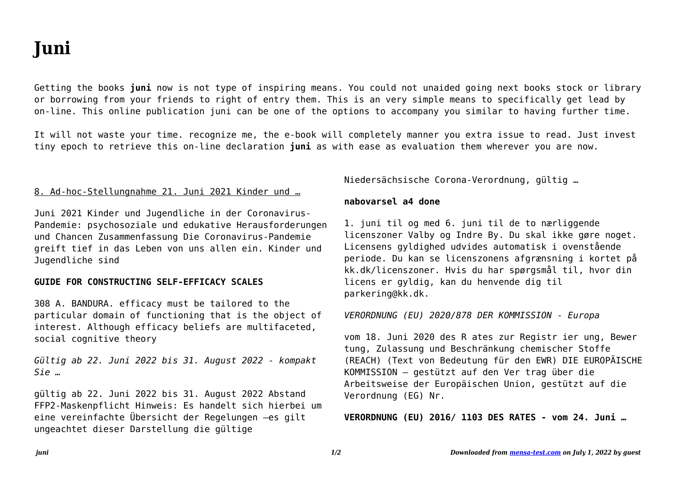# **Juni**

Getting the books **juni** now is not type of inspiring means. You could not unaided going next books stock or library or borrowing from your friends to right of entry them. This is an very simple means to specifically get lead by on-line. This online publication juni can be one of the options to accompany you similar to having further time.

It will not waste your time. recognize me, the e-book will completely manner you extra issue to read. Just invest tiny epoch to retrieve this on-line declaration **juni** as with ease as evaluation them wherever you are now.

## 8. Ad-hoc-Stellungnahme 21. Juni 2021 Kinder und …

Juni 2021 Kinder und Jugendliche in der Coronavirus-Pandemie: psychosoziale und edukative Herausforderungen und Chancen Zusammenfassung Die Coronavirus-Pandemie greift tief in das Leben von uns allen ein. Kinder und Jugendliche sind

### **GUIDE FOR CONSTRUCTING SELF-EFFICACY SCALES**

308 A. BANDURA. efficacy must be tailored to the particular domain of functioning that is the object of interest. Although efficacy beliefs are multifaceted, social cognitive theory

*Gültig ab 22. Juni 2022 bis 31. August 2022 - kompakt Sie …*

gültig ab 22. Juni 2022 bis 31. August 2022 Abstand FFP2-Maskenpflicht Hinweis: Es handelt sich hierbei um eine vereinfachte Übersicht der Regelungen –es gilt ungeachtet dieser Darstellung die gültige

Niedersächsische Corona-Verordnung, gültig …

#### **nabovarsel a4 done**

1. juni til og med 6. juni til de to nærliggende licenszoner Valby og Indre By. Du skal ikke gøre noget. Licensens gyldighed udvides automatisk i ovenstående periode. Du kan se licenszonens afgrænsning i kortet på kk.dk/licenszoner. Hvis du har spørgsmål til, hvor din licens er gyldig, kan du henvende dig til parkering@kk.dk.

#### *VERORDNUNG (EU) 2020/878 DER KOMMISSION - Europa*

vom 18. Juni 2020 des R ates zur Registr ier ung, Bewer tung, Zulassung und Beschränkung chemischer Stoffe (REACH) (Text von Bedeutung für den EWR) DIE EUROPÄISCHE KOMMISSION — gestützt auf den Ver trag über die Arbeitsweise der Europäischen Union, gestützt auf die Verordnung (EG) Nr.

**VERORDNUNG (EU) 2016/ 1103 DES RATES - vom 24. Juni …**